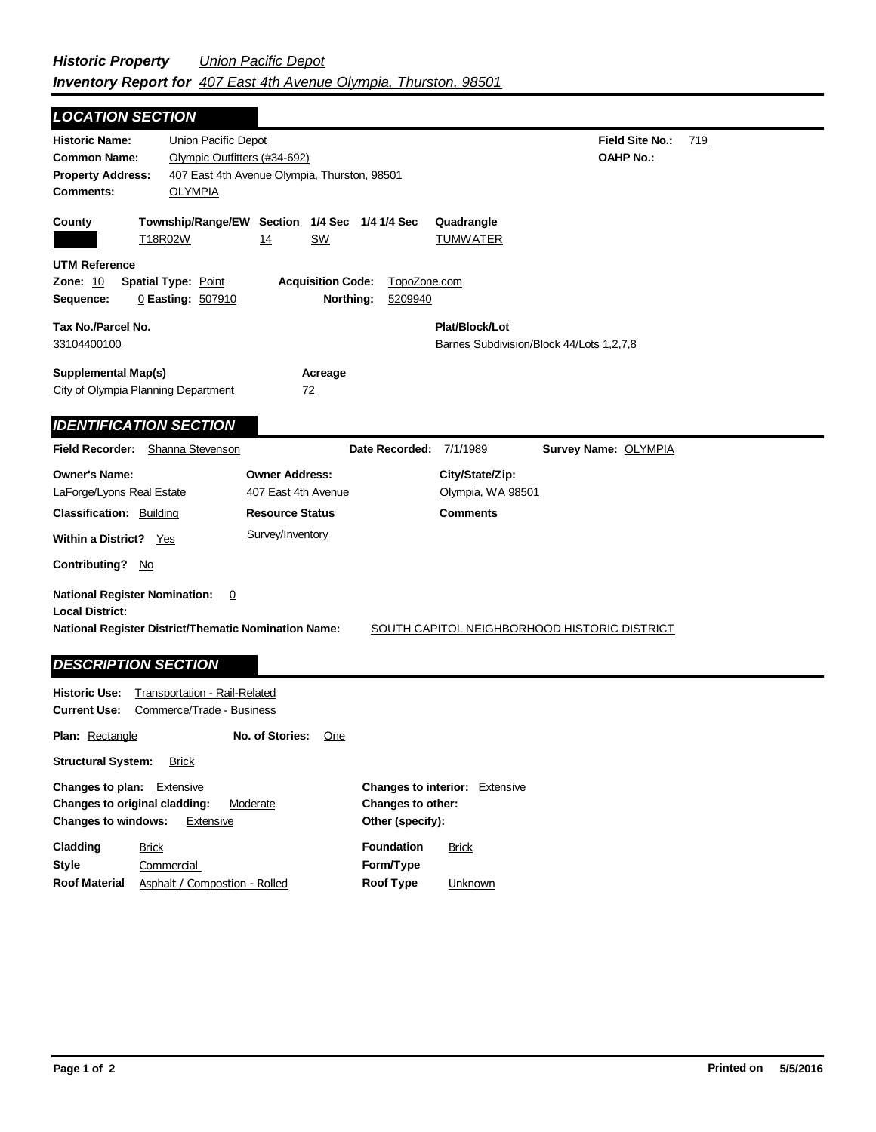| <b>LOCATION SECTION</b>                                                                                                                                  |                                                                                                                       |                                                                                            |                         |                                                            |                                                     |     |
|----------------------------------------------------------------------------------------------------------------------------------------------------------|-----------------------------------------------------------------------------------------------------------------------|--------------------------------------------------------------------------------------------|-------------------------|------------------------------------------------------------|-----------------------------------------------------|-----|
| <b>Historic Name:</b><br><b>Common Name:</b><br><b>Property Address:</b><br>Comments:                                                                    | Union Pacific Depot<br>Olympic Outfitters (#34-692)<br>407 East 4th Avenue Olympia, Thurston, 98501<br><b>OLYMPIA</b> |                                                                                            |                         |                                                            | <b>Field Site No.:</b><br><b>OAHP No.:</b>          | 719 |
| County<br>T18R02W<br><b>UTM Reference</b><br><b>Zone: 10</b>                                                                                             | Township/Range/EW Section 1/4 Sec 1/4 1/4 Sec<br>14<br><b>Spatial Type: Point</b>                                     | SW<br><b>Acquisition Code:</b>                                                             | TopoZone.com            | Quadrangle<br>TUMWATER                                     |                                                     |     |
| Sequence:<br>Tax No./Parcel No.<br>33104400100<br><b>Supplemental Map(s)</b><br><b>City of Olympia Planning Department</b>                               | 0 Easting: 507910                                                                                                     | Northing:<br>Acreage<br>72                                                                 | 5209940                 | Plat/Block/Lot<br>Barnes Subdivision/Block 44/Lots 1,2,7,8 |                                                     |     |
| <b>IDENTIFICATION SECTION</b><br><b>Field Recorder:</b>                                                                                                  | Shanna Stevenson                                                                                                      |                                                                                            | Date Recorded: 7/1/1989 |                                                            | Survey Name: OLYMPIA                                |     |
| <b>Owner's Name:</b><br>LaForge/Lyons Real Estate<br><b>Classification: Building</b><br>Within a District? Yes                                           |                                                                                                                       | <b>Owner Address:</b><br>407 East 4th Avenue<br><b>Resource Status</b><br>Survey/Inventory |                         | City/State/Zip:<br>Olympia, WA 98501<br><b>Comments</b>    |                                                     |     |
| <b>Contributing?</b> No<br><b>National Register Nomination:</b><br><b>Local District:</b><br><b>National Register District/Thematic Nomination Name:</b> | 0                                                                                                                     |                                                                                            |                         |                                                            | <b>SOUTH CAPITOL NEIGHBORHOOD HISTORIC DISTRICT</b> |     |
| <b>DESCRIPTION SECTION</b><br><b>Historic Use:</b><br><b>Current Use:</b><br><b>Plan: Rectangle</b>                                                      | <b>Transportation - Rail-Related</b><br>Commerce/Trade - Business<br>No. of Stories:                                  | One                                                                                        |                         |                                                            |                                                     |     |
| <b>Structural System:</b><br>Changes to plan:<br>Changes to original cladding:                                                                           | <b>Brick</b><br>Extensive<br>Moderate                                                                                 |                                                                                            | Changes to other:       | Changes to interior: Extensive                             |                                                     |     |

| <b>Changes to windows:</b><br>Extensive |                               | Other (specify):  |              |
|-----------------------------------------|-------------------------------|-------------------|--------------|
| Cladding                                | <b>Brick</b>                  | <b>Foundation</b> | <b>Brick</b> |
| <b>Style</b>                            | Commercial                    | Form/Type         |              |
| <b>Roof Material</b>                    | Asphalt / Compostion - Rolled | Roof Type         | Unknown      |